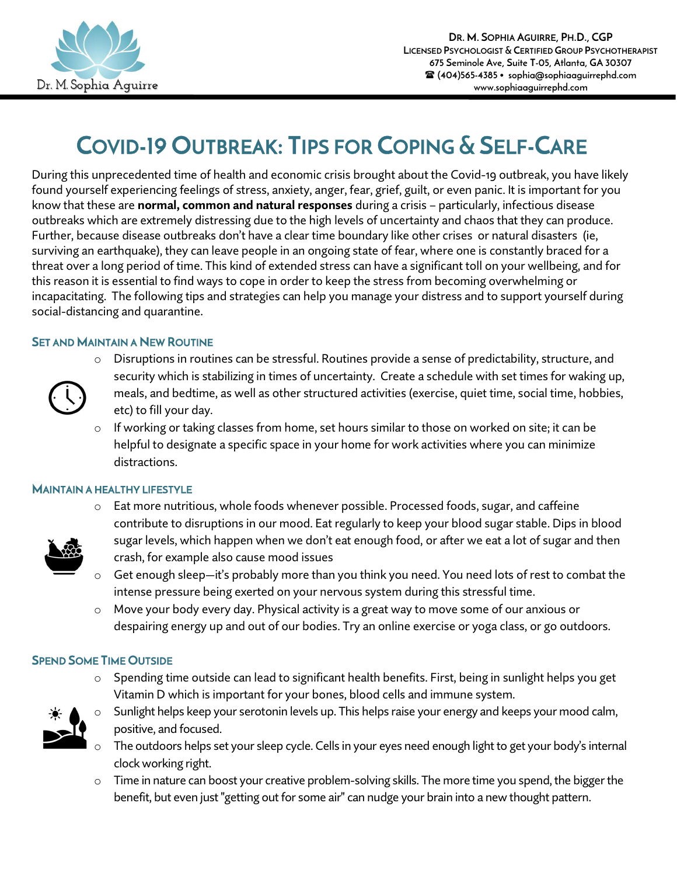

# COVID-19 OUTBREAK: TIPS FOR COPING & SELF-CARE

During this unprecedented time of health and economic crisis brought about the Covid-19 outbreak, you have likely found yourself experiencing feelings of stress, anxiety, anger, fear, grief, guilt, or even panic. It is important for you know that these are **normal, common and natural responses** during a crisis – particularly, infectious disease outbreaks which are extremely distressing due to the high levels of uncertainty and chaos that they can produce. Further, because disease outbreaks don't have a clear time boundary like other crises or natural disasters (ie, surviving an earthquake), they can leave people in an ongoing state of fear, where one is constantly braced for a threat over a long period of time. This kind of extended stress can have a significant toll on your wellbeing, and for this reason it is essential to find ways to cope in order to keep the stress from becoming overwhelming or incapacitating. The following tips and strategies can help you manage your distress and to support yourself during social-distancing and quarantine.

## **SET AND MAINTAIN A NEW ROUTINE**



- Disruptions in routines can be stressful. Routines provide a sense of predictability, structure, and security which is stabilizing in times of uncertainty. Create a schedule with set times for waking up, meals, and bedtime, as well as other structured activities (exercise, quiet time, social time, hobbies, etc) to fill your day.
- o If working or taking classes from home, set hours similar to those on worked on site; it can be helpful to designate a specific space in your home for work activities where you can minimize distractions.

## MAINTAIN A HEALTHY LIFESTYLE



- o Eat more nutritious, whole foods whenever possible. Processed foods, sugar, and caffeine contribute to disruptions in our mood. Eat regularly to keep your blood sugar stable. Dips in blood sugar levels, which happen when we don't eat enough food, or after we eat a lot of sugar and then crash, for example also cause mood issues
- $\circ$  Get enough sleep—it's probably more than you think you need. You need lots of rest to combat the intense pressure being exerted on your nervous system during this stressful time.
- o Move your body every day. Physical activity is a great way to move some of our anxious or despairing energy up and out of our bodies. Try an online exercise or yoga class, or go outdoors.

## SPEND SOME TIME OUTSIDE

 $\circ$  Spending time outside can lead to significant health benefits. First, being in sunlight helps you get Vitamin D which is important for your bones, blood cells and immune system.



- Sunlight helps keep your serotonin levels up. This helps raise your energy and keeps your mood calm, positive, and focused.
- The outdoors helps set your sleep cycle. Cells in your eyes need enough light to get your body's internal clock working right.
- o Time in nature can boost your creative problem-solving skills. The more time you spend, the bigger the benefit, but even just "getting out for some air" can nudge your brain into a new thought pattern.